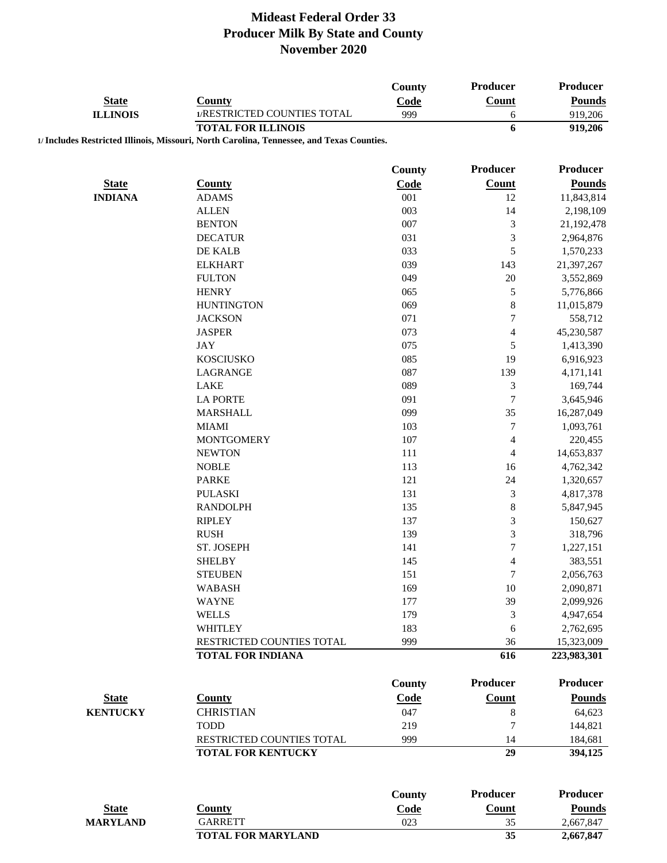|                 |                                                                                           | County        | Producer                 | Producer        |
|-----------------|-------------------------------------------------------------------------------------------|---------------|--------------------------|-----------------|
| <b>State</b>    | <b>County</b>                                                                             | Code          | Count                    | <b>Pounds</b>   |
| <b>ILLINOIS</b> | 1/RESTRICTED COUNTIES TOTAL                                                               | 999           | 6                        | 919,206         |
|                 | <b>TOTAL FOR ILLINOIS</b>                                                                 |               | 6                        | 919,206         |
|                 | 1/ Includes Restricted Illinois, Missouri, North Carolina, Tennessee, and Texas Counties. |               |                          |                 |
|                 |                                                                                           |               |                          |                 |
|                 |                                                                                           | <b>County</b> | Producer                 | <b>Producer</b> |
| <b>State</b>    | <b>County</b>                                                                             | Code          | <b>Count</b>             | <b>Pounds</b>   |
| <b>INDIANA</b>  | <b>ADAMS</b>                                                                              | 001           | 12                       | 11,843,814      |
|                 | <b>ALLEN</b>                                                                              | 003           | 14                       | 2,198,109       |
|                 | <b>BENTON</b>                                                                             | 007           | 3                        | 21,192,478      |
|                 | <b>DECATUR</b>                                                                            | 031           | 3                        | 2,964,876       |
|                 | DE KALB                                                                                   | 033           | 5                        | 1,570,233       |
|                 | <b>ELKHART</b>                                                                            | 039           | 143                      | 21,397,267      |
|                 | <b>FULTON</b>                                                                             | 049           | 20                       | 3,552,869       |
|                 | <b>HENRY</b>                                                                              | 065           | 5                        | 5,776,866       |
|                 | <b>HUNTINGTON</b>                                                                         | 069           | 8                        | 11,015,879      |
|                 | <b>JACKSON</b>                                                                            | 071           | $\overline{7}$           | 558,712         |
|                 | <b>JASPER</b>                                                                             | 073           | $\overline{\mathcal{L}}$ | 45,230,587      |
|                 | <b>JAY</b>                                                                                | 075           | 5                        | 1,413,390       |
|                 | <b>KOSCIUSKO</b>                                                                          | 085           | 19                       | 6,916,923       |
|                 | LAGRANGE                                                                                  | 087           | 139                      | 4,171,141       |
|                 | <b>LAKE</b>                                                                               | 089           | 3                        | 169,744         |
|                 | <b>LA PORTE</b>                                                                           | 091           | $\boldsymbol{7}$         | 3,645,946       |
|                 | <b>MARSHALL</b>                                                                           | 099           | 35                       | 16,287,049      |
|                 | <b>MIAMI</b>                                                                              | 103           | $\overline{7}$           | 1,093,761       |
|                 | <b>MONTGOMERY</b>                                                                         | 107           | 4                        | 220,455         |
|                 | <b>NEWTON</b>                                                                             | 111           | 4                        | 14,653,837      |
|                 | <b>NOBLE</b>                                                                              | 113           | 16                       | 4,762,342       |
|                 | <b>PARKE</b>                                                                              | 121           | 24                       | 1,320,657       |
|                 | <b>PULASKI</b>                                                                            | 131           | 3                        | 4,817,378       |
|                 | <b>RANDOLPH</b>                                                                           | 135           | 8                        | 5,847,945       |
|                 | <b>RIPLEY</b>                                                                             | 137           | 3                        | 150,627         |
|                 | <b>RUSH</b>                                                                               | 139           | 3                        | 318,796         |
|                 | ST. JOSEPH                                                                                | 141           | $\overline{7}$           | 1,227,151       |
|                 | <b>SHELBY</b>                                                                             | 145           | 4                        | 383,551         |
|                 | <b>STEUBEN</b>                                                                            | 151           | 7                        | 2,056,763       |
|                 | <b>WABASH</b>                                                                             | 169           | 10                       | 2,090,871       |
|                 | <b>WAYNE</b>                                                                              | 177           | 39                       | 2,099,926       |
|                 | <b>WELLS</b>                                                                              | 179           | 3                        | 4,947,654       |
|                 | WHITLEY                                                                                   | 183           | 6                        | 2,762,695       |
|                 | RESTRICTED COUNTIES TOTAL                                                                 | 999           | 36                       | 15,323,009      |
|                 | <b>TOTAL FOR INDIANA</b>                                                                  |               | 616                      | 223,983,301     |
|                 |                                                                                           |               |                          |                 |
|                 |                                                                                           | <b>County</b> | <b>Producer</b>          | <b>Producer</b> |
| <b>State</b>    | <b>County</b>                                                                             | Code          | Count                    | <b>Pounds</b>   |
| <b>KENTUCKY</b> | <b>CHRISTIAN</b>                                                                          | 047           | $\,$ 8 $\,$              | 64,623          |
|                 | <b>TODD</b>                                                                               | 219           | 7                        | 144,821         |
|                 | RESTRICTED COUNTIES TOTAL                                                                 | 999           | 14                       | 184,681         |
|                 | <b>TOTAL FOR KENTUCKY</b>                                                                 |               | 29                       | 394,125         |
|                 |                                                                                           |               |                          |                 |
|                 |                                                                                           | <b>County</b> | <b>Producer</b>          | Producer        |
| <b>State</b>    | <b>County</b>                                                                             | Code          | Count                    | <b>Pounds</b>   |
| <b>MARYLAND</b> | <b>GARRETT</b>                                                                            | 023           | 35                       | 2,667,847       |
|                 | <b>TOTAL FOR MARYLAND</b>                                                                 |               | 35                       | 2,667,847       |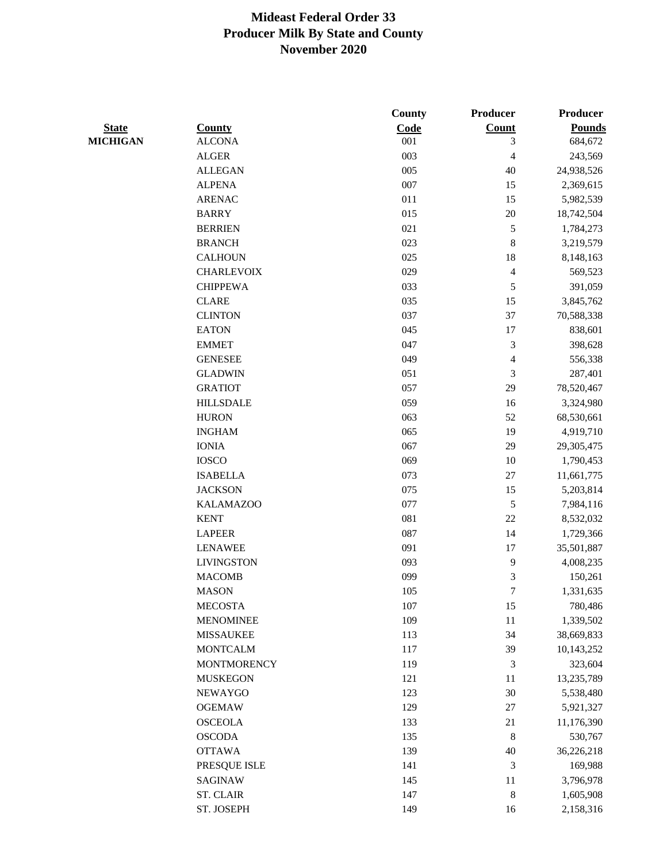|                 |                    | County  | Producer                | Producer      |
|-----------------|--------------------|---------|-------------------------|---------------|
| <b>State</b>    | <b>County</b>      | Code    | Count                   | <b>Pounds</b> |
| <b>MICHIGAN</b> | <b>ALCONA</b>      | 001     | 3                       | 684,672       |
|                 | <b>ALGER</b>       | 003     | $\overline{4}$          | 243,569       |
|                 | <b>ALLEGAN</b>     | 005     | 40                      | 24,938,526    |
|                 | <b>ALPENA</b>      | 007     | 15                      | 2,369,615     |
|                 | <b>ARENAC</b>      | 011     | 15                      | 5,982,539     |
|                 | <b>BARRY</b>       | 015     | $20\,$                  | 18,742,504    |
|                 | <b>BERRIEN</b>     | 021     | 5                       | 1,784,273     |
|                 | <b>BRANCH</b>      | 023     | $\,8\,$                 | 3,219,579     |
|                 | <b>CALHOUN</b>     | 025     | 18                      | 8,148,163     |
|                 | <b>CHARLEVOIX</b>  | 029     | $\overline{\mathbf{4}}$ | 569,523       |
|                 | <b>CHIPPEWA</b>    | 033     | 5                       | 391,059       |
|                 | <b>CLARE</b>       | 035     | 15                      | 3,845,762     |
|                 | <b>CLINTON</b>     | 037     | 37                      | 70,588,338    |
|                 | <b>EATON</b>       | 045     | 17                      | 838,601       |
|                 | <b>EMMET</b>       | 047     | $\mathfrak{Z}$          | 398,628       |
|                 | <b>GENESEE</b>     | 049     | 4                       | 556,338       |
|                 | <b>GLADWIN</b>     | 051     | 3                       | 287,401       |
|                 | <b>GRATIOT</b>     | 057     | 29                      | 78,520,467    |
|                 | <b>HILLSDALE</b>   | 059     | 16                      | 3,324,980     |
|                 | <b>HURON</b>       | 063     | 52                      | 68,530,661    |
|                 | <b>INGHAM</b>      | 065     | 19                      | 4,919,710     |
|                 | <b>IONIA</b>       | 067     | 29                      | 29,305,475    |
|                 | <b>IOSCO</b>       | 069     | 10                      | 1,790,453     |
|                 | <b>ISABELLA</b>    | 073     | 27                      | 11,661,775    |
|                 | <b>JACKSON</b>     | 075     | 15                      | 5,203,814     |
|                 | <b>KALAMAZOO</b>   | 077     | 5                       | 7,984,116     |
|                 | <b>KENT</b>        | 081     | 22                      | 8,532,032     |
|                 | <b>LAPEER</b>      | 087     | 14                      | 1,729,366     |
|                 | <b>LENAWEE</b>     | 091     | 17                      | 35,501,887    |
|                 | <b>LIVINGSTON</b>  | 093     | 9                       | 4,008,235     |
|                 | <b>MACOMB</b>      | 099     | 3                       | 150,261       |
|                 | <b>MASON</b>       | 105     | $\boldsymbol{7}$        | 1,331,635     |
|                 | <b>MECOSTA</b>     | $107\,$ | 15                      | 780,486       |
|                 | <b>MENOMINEE</b>   | 109     | $11\,$                  | 1,339,502     |
|                 | <b>MISSAUKEE</b>   | 113     | 34                      | 38,669,833    |
|                 | <b>MONTCALM</b>    | 117     | 39                      | 10,143,252    |
|                 | <b>MONTMORENCY</b> | 119     | $\mathfrak{Z}$          | 323,604       |
|                 | <b>MUSKEGON</b>    | 121     | 11                      | 13,235,789    |
|                 | NEWAYGO            | 123     | 30                      | 5,538,480     |
|                 | <b>OGEMAW</b>      | 129     | 27                      | 5,921,327     |
|                 | <b>OSCEOLA</b>     | 133     | 21                      | 11,176,390    |
|                 | <b>OSCODA</b>      | 135     | $\,8\,$                 | 530,767       |
|                 | <b>OTTAWA</b>      | 139     | 40                      | 36,226,218    |
|                 | PRESQUE ISLE       | 141     | 3                       | 169,988       |
|                 | <b>SAGINAW</b>     | 145     | 11                      | 3,796,978     |
|                 | <b>ST. CLAIR</b>   | 147     | $\,8\,$                 | 1,605,908     |
|                 | ST. JOSEPH         | 149     | 16                      | 2,158,316     |
|                 |                    |         |                         |               |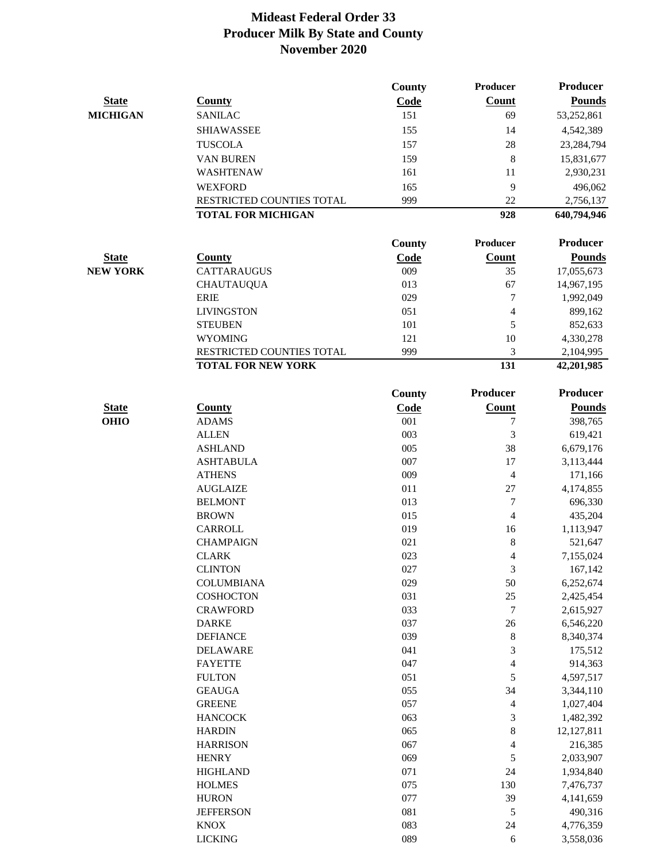|                 |                                 | <b>County</b> | <b>Producer</b>         | <b>Producer</b>      |
|-----------------|---------------------------------|---------------|-------------------------|----------------------|
| <b>State</b>    | <b>County</b>                   | Code          | Count                   | <b>Pounds</b>        |
| <b>MICHIGAN</b> | <b>SANILAC</b>                  | 151           | 69                      | 53,252,861           |
|                 | <b>SHIAWASSEE</b>               | 155           | 14                      | 4,542,389            |
|                 | <b>TUSCOLA</b>                  | 157           | 28                      | 23,284,794           |
|                 | <b>VAN BUREN</b>                | 159           | 8                       | 15,831,677           |
|                 | <b>WASHTENAW</b>                | 161           | 11                      | 2,930,231            |
|                 | <b>WEXFORD</b>                  | 165           | 9                       | 496,062              |
|                 | RESTRICTED COUNTIES TOTAL       | 999           | 22                      | 2,756,137            |
|                 | <b>TOTAL FOR MICHIGAN</b>       |               | 928                     | 640,794,946          |
|                 |                                 | County        | <b>Producer</b>         | <b>Producer</b>      |
| <b>State</b>    | <b>County</b>                   | Code          | Count                   | <b>Pounds</b>        |
| <b>NEW YORK</b> | <b>CATTARAUGUS</b>              | 009           | 35                      | 17,055,673           |
|                 | <b>CHAUTAUQUA</b>               | 013           | 67                      | 14,967,195           |
|                 | <b>ERIE</b>                     | 029           | 7                       | 1,992,049            |
|                 | <b>LIVINGSTON</b>               | 051           | $\overline{4}$          | 899,162              |
|                 | <b>STEUBEN</b>                  | 101           | 5                       | 852,633              |
|                 | <b>WYOMING</b>                  | 121           | 10                      | 4,330,278            |
|                 | RESTRICTED COUNTIES TOTAL       | 999           | 3                       | 2,104,995            |
|                 | <b>TOTAL FOR NEW YORK</b>       |               | 131                     | 42,201,985           |
|                 |                                 | County        | <b>Producer</b>         | <b>Producer</b>      |
| <b>State</b>    | <b>County</b>                   | Code          | <b>Count</b>            | <b>Pounds</b>        |
| <b>OHIO</b>     | <b>ADAMS</b>                    | 001           | 7                       | 398,765              |
|                 | <b>ALLEN</b>                    | 003           | $\mathfrak{Z}$          | 619,421              |
|                 | <b>ASHLAND</b>                  | 005           | 38                      | 6,679,176            |
|                 | <b>ASHTABULA</b>                | 007           | 17                      | 3,113,444            |
|                 | <b>ATHENS</b>                   | 009           | $\overline{\mathbf{4}}$ | 171,166              |
|                 | <b>AUGLAIZE</b>                 | 011           | 27                      | 4,174,855            |
|                 | <b>BELMONT</b>                  | 013           | 7                       | 696,330              |
|                 | <b>BROWN</b>                    | 015           | $\overline{4}$          | 435,204              |
|                 | <b>CARROLL</b>                  | 019           | 16                      | 1,113,947            |
|                 | <b>CHAMPAIGN</b>                | 021           | $\,8\,$                 | 521,647              |
|                 | <b>CLARK</b>                    | 023           | $\overline{4}$          | 7,155,024            |
|                 | <b>CLINTON</b>                  | 027           | 3                       | 167,142              |
|                 | <b>COLUMBIANA</b>               | 029           | 50                      | 6,252,674            |
|                 | <b>COSHOCTON</b>                | 031           | $25\,$                  | 2,425,454            |
|                 | <b>CRAWFORD</b>                 | 033           | 7                       | 2,615,927            |
|                 | <b>DARKE</b>                    | 037           | $26\,$                  | 6,546,220            |
|                 | <b>DEFIANCE</b>                 | 039           | $\,$ 8 $\,$             | 8,340,374            |
|                 | <b>DELAWARE</b>                 | 041           | 3                       | 175,512              |
|                 | <b>FAYETTE</b>                  | 047           | $\overline{\mathbf{4}}$ | 914,363              |
|                 | <b>FULTON</b>                   | 051           | $\mathfrak s$           | 4,597,517            |
|                 | <b>GEAUGA</b>                   | 055           | 34                      | 3,344,110            |
|                 | <b>GREENE</b>                   | 057           | $\overline{\mathbf{4}}$ | 1,027,404            |
|                 | <b>HANCOCK</b>                  | 063           | 3                       | 1,482,392            |
|                 | <b>HARDIN</b>                   | 065           | $\,8\,$                 | 12, 127, 811         |
|                 | <b>HARRISON</b>                 | 067           | 4                       | 216,385              |
|                 | <b>HENRY</b>                    | 069           | 5                       | 2,033,907            |
|                 | <b>HIGHLAND</b>                 | 071           | 24                      | 1,934,840            |
|                 | <b>HOLMES</b>                   | 075<br>077    | 130                     | 7,476,737            |
|                 | <b>HURON</b>                    | 081           | 39                      | 4,141,659<br>490,316 |
|                 | <b>JEFFERSON</b><br><b>KNOX</b> | 083           | 5<br>24                 | 4,776,359            |
|                 | <b>LICKING</b>                  | 089           | $\sqrt{6}$              | 3,558,036            |
|                 |                                 |               |                         |                      |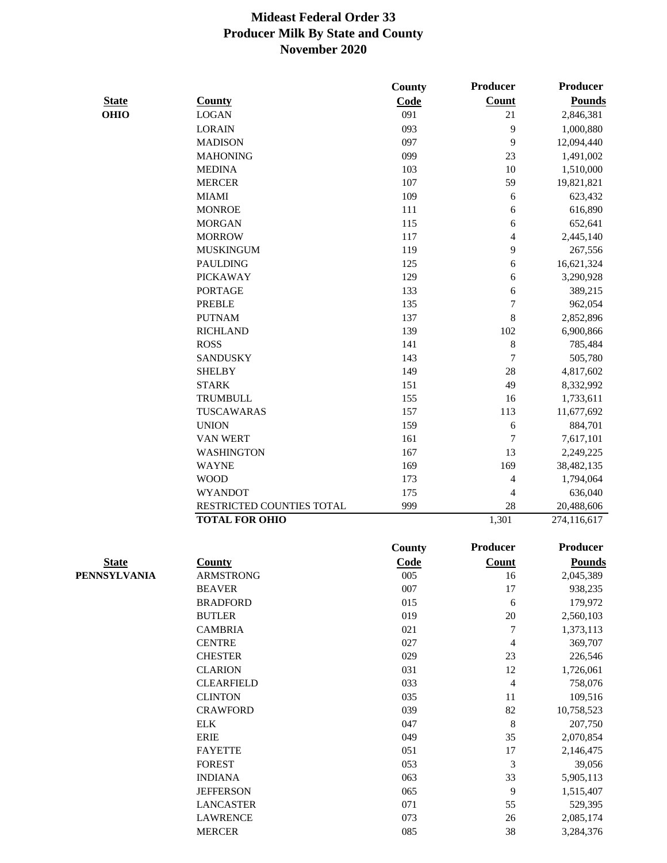|              |                           | <b>County</b> | Producer                 | <b>Producer</b> |
|--------------|---------------------------|---------------|--------------------------|-----------------|
| <b>State</b> | <b>County</b>             | Code          | Count                    | <b>Pounds</b>   |
| <b>OHIO</b>  | <b>LOGAN</b>              | 091           | 21                       | 2,846,381       |
|              | <b>LORAIN</b>             | 093           | 9                        | 1,000,880       |
|              | <b>MADISON</b>            | 097           | 9                        | 12,094,440      |
|              | <b>MAHONING</b>           | 099           | 23                       | 1,491,002       |
|              | <b>MEDINA</b>             | 103           | 10                       | 1,510,000       |
|              | <b>MERCER</b>             | 107           | 59                       | 19,821,821      |
|              | <b>MIAMI</b>              | 109           | 6                        | 623,432         |
|              | <b>MONROE</b>             | 111           | 6                        | 616,890         |
|              | <b>MORGAN</b>             | 115           | 6                        | 652,641         |
|              | <b>MORROW</b>             | 117           | 4                        | 2,445,140       |
|              | <b>MUSKINGUM</b>          | 119           | 9                        | 267,556         |
|              | <b>PAULDING</b>           | 125           | 6                        | 16,621,324      |
|              | <b>PICKAWAY</b>           | 129           | 6                        | 3,290,928       |
|              | <b>PORTAGE</b>            | 133           | 6                        | 389,215         |
|              | <b>PREBLE</b>             | 135           | $\overline{7}$           | 962,054         |
|              | <b>PUTNAM</b>             | 137           | $\bf 8$                  | 2,852,896       |
|              | <b>RICHLAND</b>           | 139           | 102                      | 6,900,866       |
|              | <b>ROSS</b>               | 141           | $\,$ $\,$                | 785,484         |
|              | <b>SANDUSKY</b>           | 143           | 7                        | 505,780         |
|              | <b>SHELBY</b>             | 149           | 28                       | 4,817,602       |
|              | <b>STARK</b>              | 151           | 49                       | 8,332,992       |
|              | <b>TRUMBULL</b>           | 155           | 16                       | 1,733,611       |
|              | TUSCAWARAS                | 157           | 113                      | 11,677,692      |
|              | <b>UNION</b>              | 159           | 6                        | 884,701         |
|              | VAN WERT                  | 161           | 7                        | 7,617,101       |
|              | <b>WASHINGTON</b>         | 167           | 13                       | 2,249,225       |
|              | <b>WAYNE</b>              | 169           | 169                      | 38,482,135      |
|              | <b>WOOD</b>               | 173           | 4                        | 1,794,064       |
|              | <b>WYANDOT</b>            | 175           | 4                        | 636,040         |
|              | RESTRICTED COUNTIES TOTAL | 999           | 28                       | 20,488,606      |
|              | <b>TOTAL FOR OHIO</b>     |               | 1,301                    | 274,116,617     |
|              |                           | <b>County</b> | Producer                 | <b>Producer</b> |
| <b>State</b> | <b>County</b>             | Code          | Count                    | <b>Pounds</b>   |
| PENNSYLVANIA | <b>ARMSTRONG</b>          | 005           | 16                       | 2,045,389       |
|              | <b>BEAVER</b>             | 007           | 17                       | 938,235         |
|              | <b>BRADFORD</b>           | 015           | 6                        | 179,972         |
|              | <b>BUTLER</b>             | 019           | $20\,$                   | 2,560,103       |
|              | <b>CAMBRIA</b>            | 021           | 7                        | 1,373,113       |
|              | <b>CENTRE</b>             | 027           | 4                        | 369,707         |
|              | <b>CHESTER</b>            | 029           | 23                       | 226,546         |
|              | <b>CLARION</b>            | 031           | 12                       | 1,726,061       |
|              | <b>CLEARFIELD</b>         | 033           | $\overline{\mathcal{L}}$ | 758,076         |
|              | <b>CLINTON</b>            | 035           | 11                       | 109,516         |
|              | <b>CRAWFORD</b>           | 039           | 82                       | 10,758,523      |
|              | <b>ELK</b>                | 047           | $\,8\,$                  | 207,750         |
|              | <b>ERIE</b>               | 049           | 35                       | 2,070,854       |
|              | <b>FAYETTE</b>            | 051           | 17                       | 2,146,475       |
|              | <b>FOREST</b>             | 053           | $\mathfrak 3$            | 39,056          |
|              | <b>INDIANA</b>            | 063           | 33                       | 5,905,113       |
|              | <b>JEFFERSON</b>          | 065           | 9                        | 1,515,407       |
|              | <b>LANCASTER</b>          | 071           | 55                       | 529,395         |
|              | <b>LAWRENCE</b>           | 073           | $26\,$                   | 2,085,174       |
|              | <b>MERCER</b>             | 085           | 38                       | 3,284,376       |
|              |                           |               |                          |                 |